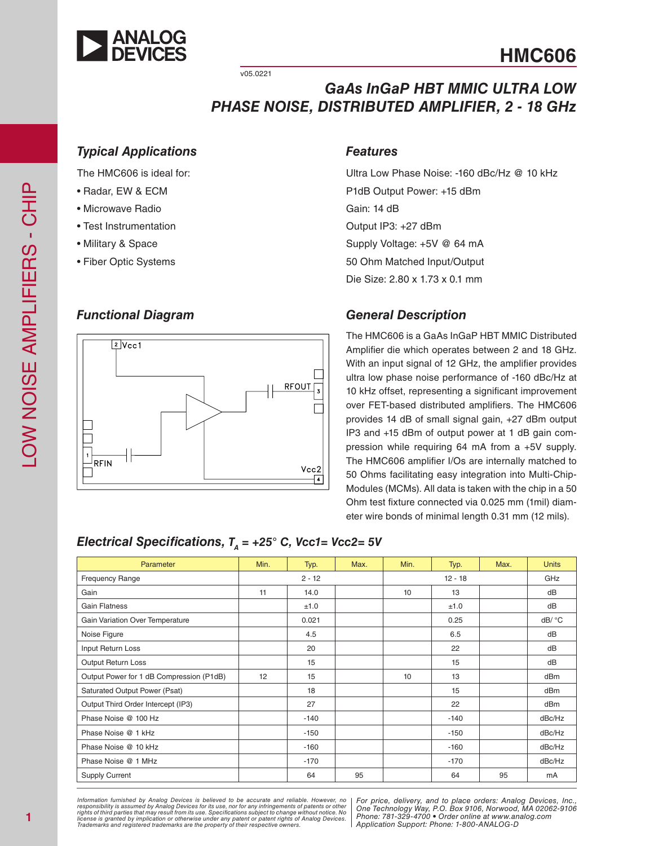

**HMC606**

v05.0221

### *GaAs InGaP HBT MMIC ULTRA LOW PHASE NOISE, DISTRIBUTED AMPLIFIER, 2 - 18 GHz*

#### *Typical Applications*

The HMC606 is ideal for:

- Radar, EW & ECM
- Microwave Radio
- Test Instrumentation
- Military & Space
- Fiber Optic Systems

#### *Functional Diagram*



#### *Features*

Ultra Low Phase Noise: -160 dBc/Hz @ 10 kHz P1dB Output Power: +15 dBm Gain: 14 dB Output IP3: +27 dBm Supply Voltage: +5V @ 64 mA 50 Ohm Matched Input/Output Die Size: 2.80 x 1.73 x 0.1 mm

### *General Description*

The HMC606 is a GaAs InGaP HBT MMIC Distributed Amplifier die which operates between 2 and 18 GHz. With an input signal of 12 GHz, the amplifier provides ultra low phase noise performance of -160 dBc/Hz at 10 kHz offset, representing a significant improvement over FET-based distributed amplifiers. The HMC606 provides 14 dB of small signal gain, +27 dBm output IP3 and +15 dBm of output power at 1 dB gain com pression while requiring 64 mA from a +5V supply. The HMC606 amplifier I/Os are internally matched to 50 Ohms facilitating easy integration into Multi-Chip-Modules (MCMs). All data is taken with the chip in a 50 Ohm test fixture connected via 0.025 mm (1mil) diam eter wire bonds of minimal length 0.31 mm (12 mils).

#### *Electrical Specifications,*  $T_A$  = +25° C, Vcc1= Vcc2= 5V

| Parameter                                | Min. | Typ.     | Max. | Min. | Typ.      | Max. | <b>Units</b>    |
|------------------------------------------|------|----------|------|------|-----------|------|-----------------|
| <b>Frequency Range</b>                   |      | $2 - 12$ |      |      | $12 - 18$ |      | GHz             |
| Gain                                     | 11   | 14.0     |      | 10   | 13        |      | dB              |
| <b>Gain Flatness</b>                     |      | ±1.0     |      |      | ±1.0      |      | dB              |
| Gain Variation Over Temperature          |      | 0.021    |      |      | 0.25      |      | dB/ °C          |
| Noise Figure                             |      | 4.5      |      |      | 6.5       |      | dB              |
| Input Return Loss                        |      | 20       |      |      | 22        |      | dB              |
| Output Return Loss                       |      | 15       |      |      | 15        |      | dB              |
| Output Power for 1 dB Compression (P1dB) | 12   | 15       |      | 10   | 13        |      | dB <sub>m</sub> |
| Saturated Output Power (Psat)            |      | 18       |      |      | 15        |      | dBm             |
| Output Third Order Intercept (IP3)       |      | 27       |      |      | 22        |      | dB <sub>m</sub> |
| Phase Noise @ 100 Hz                     |      | $-140$   |      |      | $-140$    |      | dBc/Hz          |
| Phase Noise @ 1 kHz                      |      | $-150$   |      |      | $-150$    |      | dBc/Hz          |
| Phase Noise @ 10 kHz                     |      | $-160$   |      |      | $-160$    |      | dBc/Hz          |
| Phase Noise @ 1 MHz                      |      | $-170$   |      |      | $-170$    |      | dBc/Hz          |
| <b>Supply Current</b>                    |      | 64       | 95   |      | 64        | 95   | mA              |

Information furnished by Analog Devices is believed to be accurate and reliable. However, no<br>responsibility is assumed by Analog Devices for its use, nor for any infringements of patents or other<br>rights of third parties th license is granted by implication or otherwise under any patent or patent rights of Analog Devices.<br>Trademarks and registered trademarks are the property of their respective owners.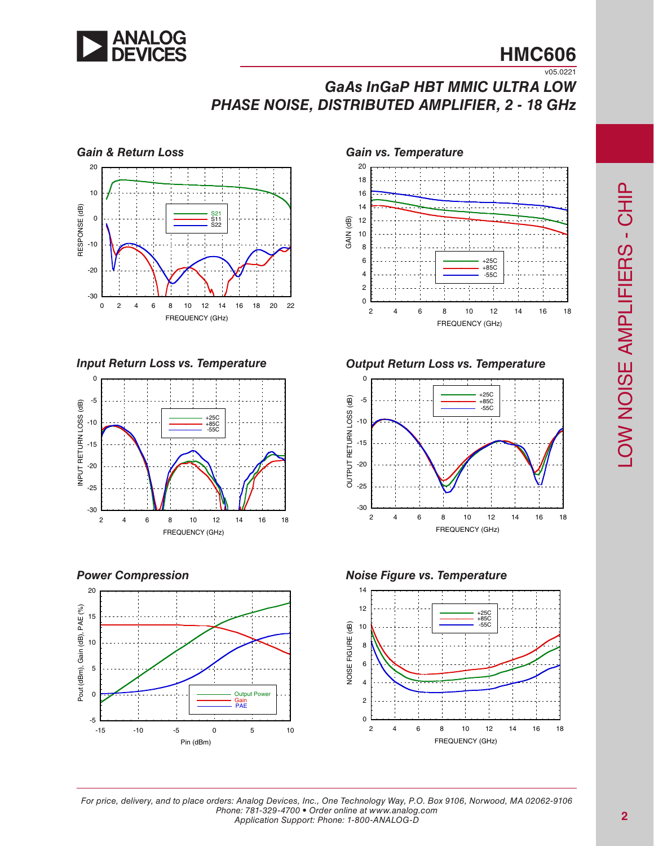

### **HMC606** v05.0221

# *GaAs InGaP HBT MMIC ULTRA LOW PHASE NOISE, DISTRIBUTED AMPLIFIER, 2 - 18 GHz*



*Input Return Loss vs. Temperature*



*Power Compression*





*Output Return Loss vs. Temperature*



*Noise Figure vs. Temperature*

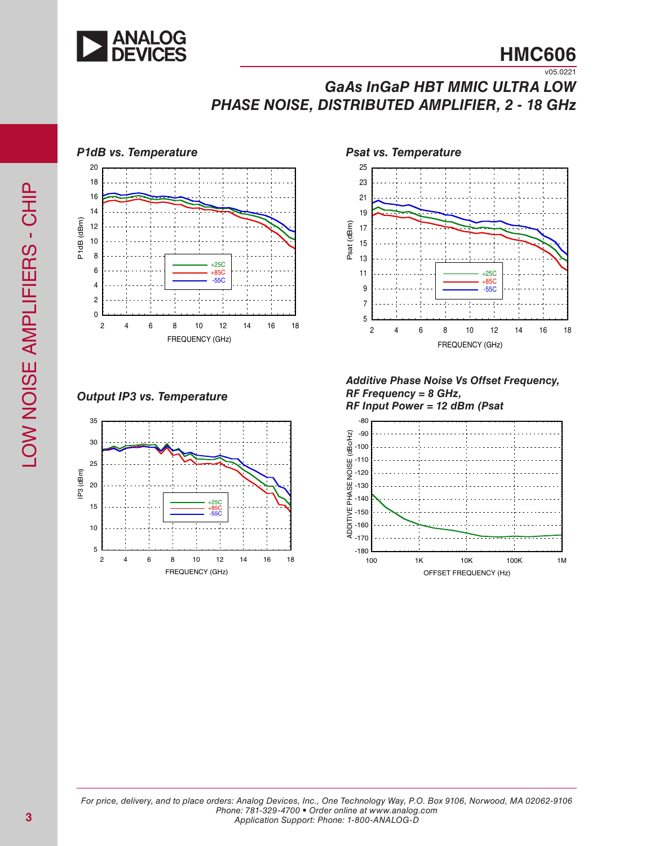

# *GaAs InGaP HBT MMIC ULTRA LOW PHASE NOISE, DISTRIBUTED AMPLIFIER, 2 - 18 GHz*



*Output IP3 vs. Temperature*



25 23 21 19 Psat (dBm) Psat (dBm) 17 15 13 11 +25C +85C 9 9<br>7<br>5 -55C 7 5 2 4 6 8 10 12 14 16 18 FREQUENCY (GHz)

*Additive Phase Noise Vs Offset Frequency, RF Frequency = 8 GHz, RF Input Power = 12 dBm (Psat*

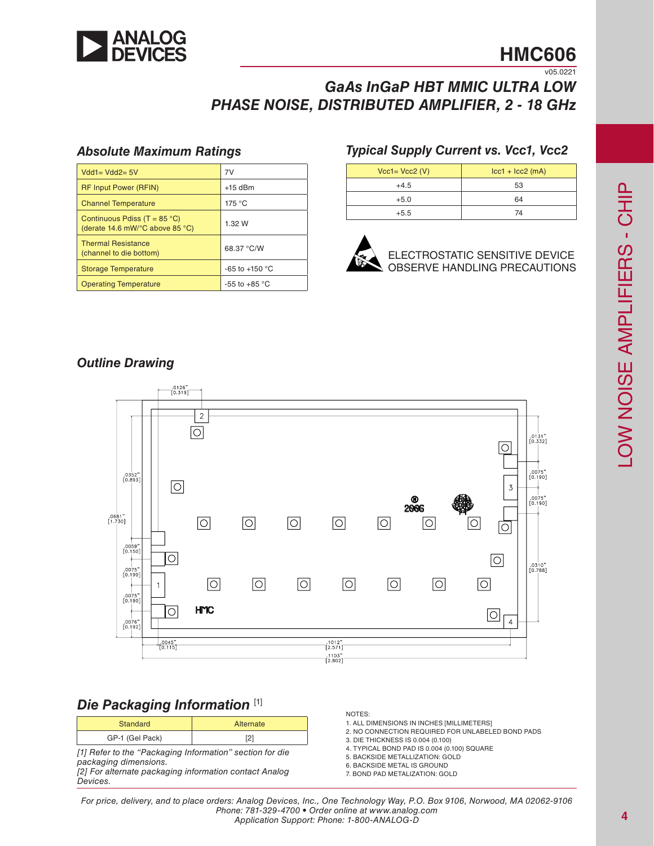

# **HMC606**

 $\overline{v05.0221}$ 

## *GaAs InGaP HBT MMIC ULTRA LOW PHASE NOISE, DISTRIBUTED AMPLIFIER, 2 - 18 GHz*

#### *Absolute Maximum Ratings*

| $Vdd1 = Vdd2 = 5V$                                                                          | 7V                       |  |
|---------------------------------------------------------------------------------------------|--------------------------|--|
| <b>RF Input Power (RFIN)</b>                                                                | $+15$ dBm                |  |
| <b>Channel Temperature</b>                                                                  | 175 °C                   |  |
| Continuous Pdiss (T = $85^{\circ}$ C)<br>(derate 14.6 mW/ $\degree$ C above 85 $\degree$ C) | 1.32 W                   |  |
| <b>Thermal Resistance</b><br>(channel to die bottom)                                        | 68.37 °C/W               |  |
| <b>Storage Temperature</b>                                                                  | -65 to +150 $^{\circ}$ C |  |
| <b>Operating Temperature</b>                                                                | -55 to +85 $\degree$ C   |  |

### *Typical Supply Current vs. Vcc1, Vcc2*

| $Vcc1 = Vcc2$ (V) | $lcc1 + lcc2$ (mA) |
|-------------------|--------------------|
| $+4.5$            | 53                 |
| $+5.0$            | 64                 |
| $+5.5$            | 74                 |



ELECTROSTATIC SENSITIVE DEVICE OBSERVE HANDLING PRECAUTIONS

### *Outline Drawing*



### *Die Packaging Information* [1]

| Standard        | Alternate     |  |  |  |  |
|-----------------|---------------|--|--|--|--|
| GP-1 (Gel Pack) | ∼             |  |  |  |  |
| _ _ _ _ _       | $\sim$ $\sim$ |  |  |  |  |

*[1] Refer to the "Packaging Information" section for die packaging dimensions. [2] For alternate packaging information contact Analog* 

*Devices.*

#### NOTES:

- 1. ALL DIMENSIONS IN INCHES [MILLIMETERS]
- 2. NO CONNECTION REQUIRED FOR UNLABELED BOND PADS
- 3. DIE THICKNESS IS 0.004 (0.100)
- 4. TYPICAL BOND PAD IS 0.004 (0.100) SQUARE
- 5. BACKSIDE METALLIZATION: GOLD
- 6. BACKSIDE METAL IS GROUND
- 7. BOND PAD METALIZATION: GOLD

LOW NOISE AMPLIFIERS - CHIP LOW NOISE AMPLIFIERS - CHIP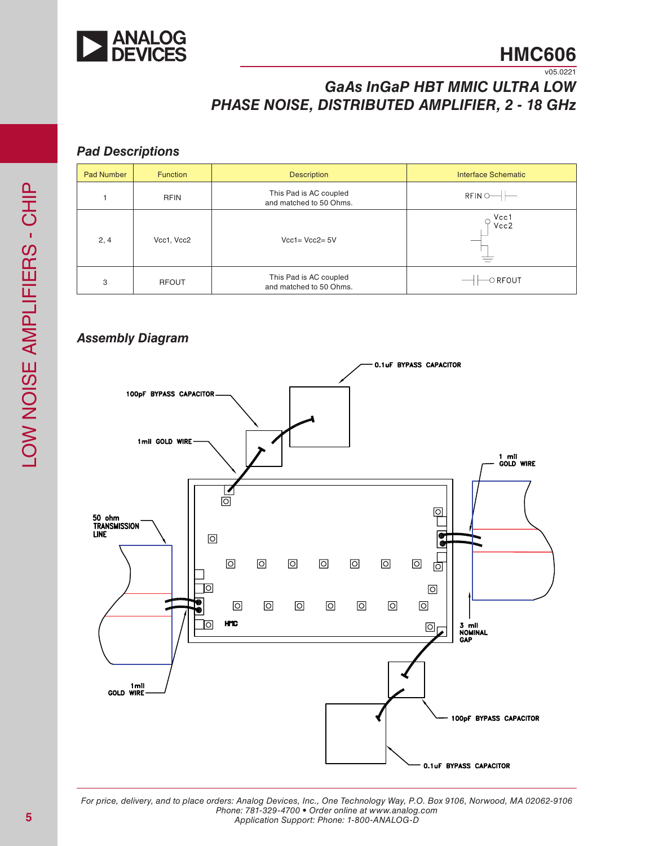

# *GaAs InGaP HBT MMIC ULTRA LOW PHASE NOISE, DISTRIBUTED AMPLIFIER, 2 - 18 GHz*

#### *Pad Descriptions*

| <b>Pad Number</b> | <b>Function</b> | <b>Description</b>                                | <b>Interface Schematic</b> |
|-------------------|-----------------|---------------------------------------------------|----------------------------|
|                   | <b>RFIN</b>     | This Pad is AC coupled<br>and matched to 50 Ohms. | RFIN                       |
| 2, 4              | Vcc1, Vcc2      | $Vcc1 = Vcc2 = 5V$                                | Vcc1<br>Vcc2               |
| 3                 | <b>RFOUT</b>    | This Pad is AC coupled<br>and matched to 50 Ohms. | $\circ$ RFOUT              |

### *Assembly Diagram*